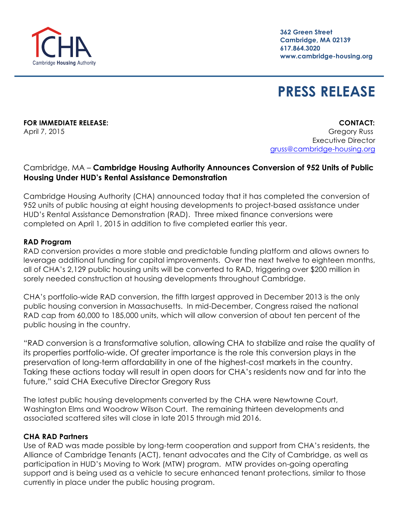**362 Green Street Cambridge, MA 02139 617.864.3020 www.cambridge-housing.org**

# **PRESS RELEASE**

**FOR IMMEDIATE RELEASE: CONTACT:**

April 7, 2015 Gregory Russ Executive Director gruss@cambridge-housing.org

# Cambridge, MA – **Cambridge Housing Authority Announces Conversion of 952 Units of Public Housing Under HUD's Rental Assistance Demonstration**

Cambridge Housing Authority (CHA) announced today that it has completed the conversion of 952 units of public housing at eight housing developments to project-based assistance under HUD's Rental Assistance Demonstration (RAD). Three mixed finance conversions were completed on April 1, 2015 in addition to five completed earlier this year.

### **RAD Program**

RAD conversion provides a more stable and predictable funding platform and allows owners to leverage additional funding for capital improvements. Over the next twelve to eighteen months, all of CHA's 2,129 public housing units will be converted to RAD, triggering over \$200 million in sorely needed construction at housing developments throughout Cambridge.

CHA's portfolio-wide RAD conversion, the fifth largest approved in December 2013 is the only public housing conversion in Massachusetts. In mid-December, Congress raised the national RAD cap from 60,000 to 185,000 units, which will allow conversion of about ten percent of the public housing in the country.

"RAD conversion is a transformative solution, allowing CHA to stabilize and raise the quality of its properties portfolio-wide. Of greater importance is the role this conversion plays in the preservation of long-term affordability in one of the highest-cost markets in the country. Taking these actions today will result in open doors for CHA's residents now and far into the future," said CHA Executive Director Gregory Russ

The latest public housing developments converted by the CHA were Newtowne Court, Washington Elms and Woodrow Wilson Court. The remaining thirteen developments and associated scattered sites will close in late 2015 through mid 2016.

# **CHA RAD Partners**

Use of RAD was made possible by long-term cooperation and support from CHA's residents, the Alliance of Cambridge Tenants (ACT), tenant advocates and the City of Cambridge, as well as participation in HUD's Moving to Work (MTW) program. MTW provides on-going operating support and is being used as a vehicle to secure enhanced tenant protections, similar to those currently in place under the public housing program.